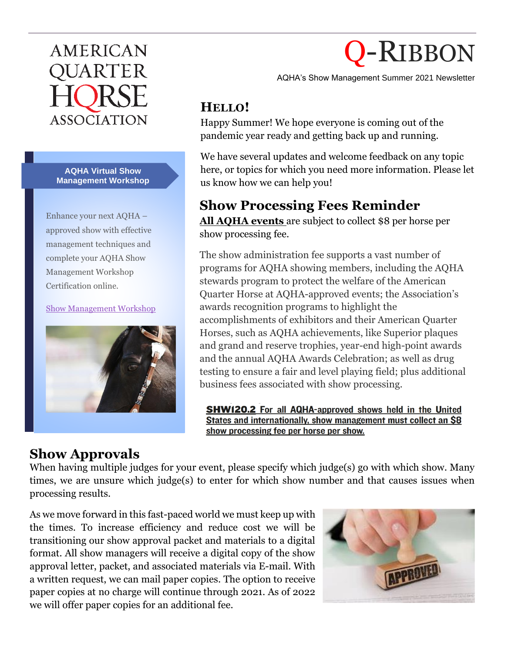## **AMERICAN** OUARTER ASSOCIATION

**AQHA Virtual Show Management Workshop**

Enhance your next AQHA – approved show with effective management techniques and complete your AQHA Show Management Workshop Certification online.

[Show Management Workshop](https://www.aqha.com/-/show-management-workshops?inheritRedirect=true&redirect=https%3A%2F%2Fwww.aqha.com%2Fresources-for-show-managers%3Fp_p_id%3Dcom_liferay_portal_search_web_portlet_SearchPortlet%26p_p_lifecycle%3D0%26p_p_state%3Dmaximized%26p_p_mode%3Dview%26_com_liferay_portal_search_web_portlet_SearchPortlet_redirect%3Dhttps%253A%252F%252Fwww.aqha.com%252Fresources-for-show-managers%253Fp_p_id%253Dcom_liferay_portal_search_web_portlet_SearchPortlet%2526p_p_lifecycle%253D0%2526p_p_state%253Dnormal%2526p_p_mode%253Dview%26_com_liferay_portal_search_web_portlet_SearchPortlet_mvcPath%3D%252Fsearch.jsp%26_com_liferay_portal_search_web_portlet_SearchPortlet_keywords%3Dshow%2Bmanagement%2Bworkshop%26_com_liferay_portal_search_web_portlet_SearchPortlet_formDate%3D1553921798179%26_com_liferay_portal_search_web_portlet_SearchPortlet_scope%3Dthis-site)



# Q-RIBBON

AQHA's Show Management Summer 2021 Newsletter

#### **HELLO!**

Happy Summer! We hope everyone is coming out of the pandemic year ready and getting back up and running.

We have several updates and welcome feedback on any topic here, or topics for which you need more information. Please let us know how we can help you!

#### **Show Processing Fees Reminder**

**All AQHA events** are subject to collect \$8 per horse per show processing fee.

The show administration fee supports a vast number of programs for AQHA showing members, including the AQHA stewards program to protect the welfare of the American Quarter Horse at AQHA-approved events; the Association's awards recognition programs to highlight the accomplishments of exhibitors and their American Quarter Horses, such as AQHA achievements, like Superior plaques and grand and reserve trophies, year-end high-point awards and the annual AQHA Awards Celebration; as well as drug testing to ensure a fair and level playing field; plus additional business fees associated with show processing.

**SHW120.2** For all AQHA-approved shows held in the United States and internationally, show management must collect an \$8 show processing fee per horse per show.

#### **Show Approvals**

When having multiple judges for your event, please specify which judge(s) go with which show. Many times, we are unsure which judge(s) to enter for which show number and that causes issues when processing results.

As we move forward in this fast-paced world we must keep up with the times. To increase efficiency and reduce cost we will be transitioning our show approval packet and materials to a digital format. All show managers will receive a digital copy of the show approval letter, packet, and associated materials via E-mail. With a written request, we can mail paper copies. The option to receive paper copies at no charge will continue through 2021. As of 2022 we will offer paper copies for an additional fee.

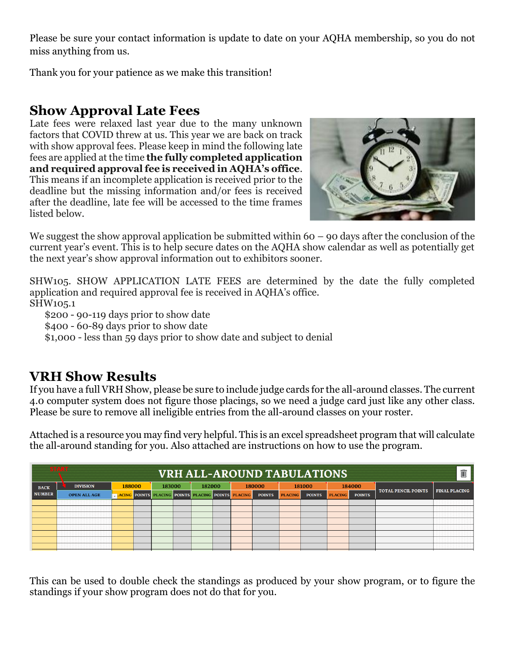Please be sure your contact information is update to date on your AQHA membership, so you do not miss anything from us.

Thank you for your patience as we make this transition!

#### **Show Approval Late Fees**

Late fees were relaxed last year due to the many unknown factors that COVID threw at us. This year we are back on track with show approval fees. Please keep in mind the following late fees are applied at the time **the fully completed application and required approval fee is received in AQHA's office**. This means if an incomplete application is received prior to the deadline but the missing information and/or fees is received after the deadline, late fee will be accessed to the time frames listed below.



We suggest the show approval application be submitted within 60 – 90 days after the conclusion of the current year's event. This is to help secure dates on the AQHA show calendar as well as potentially get the next year's show approval information out to exhibitors sooner.

SHW105. SHOW APPLICATION LATE FEES are determined by the date the fully completed application and required approval fee is received in AQHA's office. SHW105.1

\$200 - 90-119 days prior to show date

\$400 - 60-89 days prior to show date

\$1,000 - less than 59 days prior to show date and subject to denial

#### **VRH Show Results**

If you have a full VRH Show, please be sure to include judge cards for the all-around classes. The current 4.0 computer system does not figure those placings, so we need a judge card just like any other class. Please be sure to remove all ineligible entries from the all-around classes on your roster.

Attached is a resource you may find very helpful. This is an excel spreadsheet program that will calculate the all-around standing for you. Also attached are instructions on how to use the program.

|               | <b>START</b><br>Ŵ<br><b>VRH ALL-AROUND TABULATIONS</b> |        |  |        |  |        |  |                                                            |  |                |               |                |               |                            |                      |
|---------------|--------------------------------------------------------|--------|--|--------|--|--------|--|------------------------------------------------------------|--|----------------|---------------|----------------|---------------|----------------------------|----------------------|
| <b>BACK</b>   | <b>DIVISION</b>                                        | 188000 |  | 183000 |  | 182000 |  | 180000                                                     |  | 181000         |               | 184000         |               |                            |                      |
| <b>NUMBER</b> | <b>OPEN ALL AGE</b>                                    |        |  |        |  |        |  | LACING POINTS PLACING POINTS PLACING POINTS PLACING POINTS |  | <b>PLACING</b> | <b>POINTS</b> | <b>PLACING</b> | <b>POINTS</b> | <b>TOTAL PENCIL POINTS</b> | <b>FINAL PLACING</b> |
|               |                                                        |        |  |        |  |        |  |                                                            |  |                |               |                |               |                            |                      |
|               |                                                        |        |  |        |  |        |  |                                                            |  |                |               |                |               |                            |                      |
|               |                                                        |        |  |        |  |        |  |                                                            |  |                |               |                |               |                            |                      |
|               |                                                        |        |  |        |  |        |  |                                                            |  |                |               |                |               |                            |                      |
|               |                                                        |        |  |        |  |        |  |                                                            |  |                |               |                |               |                            |                      |
|               |                                                        |        |  |        |  |        |  |                                                            |  |                |               |                |               |                            |                      |
|               |                                                        |        |  |        |  |        |  |                                                            |  |                |               |                |               |                            |                      |
|               |                                                        |        |  |        |  |        |  |                                                            |  |                |               |                |               |                            |                      |

This can be used to double check the standings as produced by your show program, or to figure the standings if your show program does not do that for you.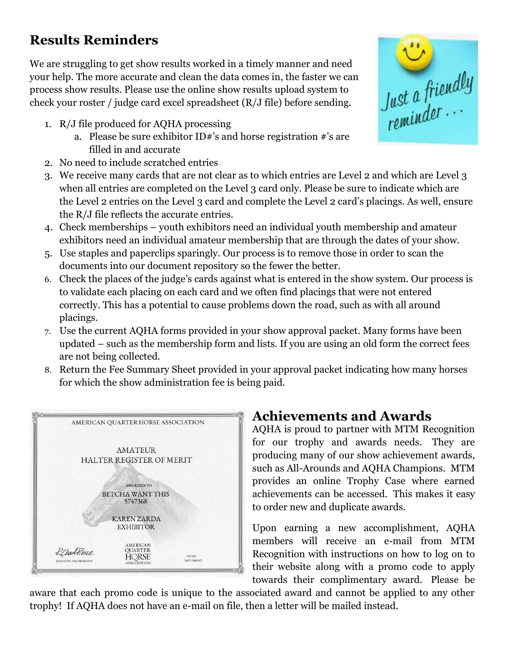### **Results Reminders**

We are struggling to get show results worked in a timely manner and need your help. The more accurate and clean the data comes in, the faster we can process show results. Please use the online show results upload system to check your roster / judge card excel spreadsheet (R/J file) before sending.

- 1. R/J file produced for AQHA processing
	- a. Please be sure exhibitor ID#'s and horse registration #'s are filled in and accurate
- 2. No need to include scratched entries
- 3. We receive many cards that are not clear as to which entries are Level 2 and which are Level 3 when all entries are completed on the Level 3 card only. Please be sure to indicate which are the Level 2 entries on the Level 3 card and complete the Level 2 card's placings. As well, ensure the R/J file reflects the accurate entries.
- 4. Check memberships youth exhibitors need an individual youth membership and amateur exhibitors need an individual amateur membership that are through the dates of your show.
- 5. Use staples and paperclips sparingly. Our process is to remove those in order to scan the documents into our document repository so the fewer the better.
- 6. Check the places of the judge's cards against what is entered in the show system. Our process is to validate each placing on each card and we often find placings that were not entered correctly. This has a potential to cause problems down the road, such as with all around placings.
- 7. Use the current AQHA forms provided in your show approval packet. Many forms have been updated – such as the membership form and lists. If you are using an old form the correct fees are not being collected.
- 8. Return the Fee Summary Sheet provided in your approval packet indicating how many horses for which the show administration fee is being paid.



### **Achievements and Awards**

AQHA is proud to partner with MTM Recognition for our trophy and awards needs. They are producing many of our show achievement awards, such as All-Arounds and AQHA Champions. MTM provides an online Trophy Case where earned achievements can be accessed. This makes it easy to order new and duplicate awards.

Upon earning a new accomplishment, AQHA members will receive an e-mail from MTM Recognition with instructions on how to log on to their website along with a promo code to apply towards their complimentary award. Please be

aware that each promo code is unique to the associated award and cannot be applied to any other trophy! If AQHA does not have an e-mail on file, then a letter will be mailed instead.